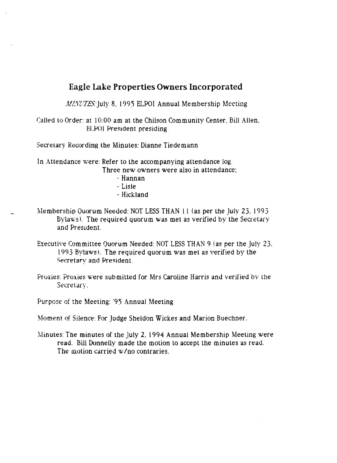## **Eagle Lake Properties Owners Incorporated**

*MINUTES*: July 8, 1995 ELPOI Annual Membership Meeting

Called to Order: at 10:00 am at the Chilson Community Center, Bill Allen, ELPOI President presiding.

Secretary Recording the Minutes: Dianne Tiede mann

In Attendance were: Refer to the accompanying attendance log.

Three new owners were also in attendance;

- Hannan - Lisle - Hickland
- 
- Membership Quorum Needed: NOT LESS THAN 11 (as per the July 23. 1993 Bylaws). The required quorum was met as verified by the Secretary and President.
- Executive Committee Quorum Needed: NOT LESS THAN 9 (as per the July 23, 1993 Bylaws). The required quorum was met as verified by the Secretary and President.
- Proxies: Proxies were submitted for Mrs Caroline Harris and verified by the Secretary.

Purpose of the Meeting: '95 Annual Meeting

Moment of Silence: For Judge Sheldon Wickes and Marion Buechner.

Minutes: The minutes of the July 2, 1994 Annual Membership Meeting were read. Bill Donnelly made the motion to accept the minutes as read. The motion carried w/no contraries.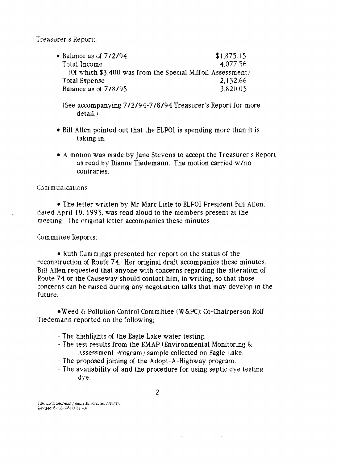Treasurer's Report:

• Balance as of  $7/2/94$ <br>Total Income  $4.077.56$ Total Income (Of which  $$3,400$  was from the Special Milfoil Assessment) Total Expense 2,132.66 Balance as of 7/8/95 3,820.05

(See accompanying *7/2/94-7/8/94* Treasurer's Report for more  $detail.$ 

- Bill Allen pointed out that the ELPOI is spending more than it is taking in.
- A motion was made by Jane Stevens to accept the Treasurer's Report as read by Dianne Tiedemann. The motion carried  $w/no$ contraries.

CommUniCatiOns:

• The letter written by Mr Marc Lisle to ELPOI President Bill Allen, dated April lO. 199), was read aloud to the members present at the meeting The ongmal letter accompanies these minutes

Committee Reports:

• Ruth Cummings presented her report on the status of the reconstruction of Route 74. Her original draft accompanies these minutes. Bill Allen requested that anyone with concerns regarding the alteration of Route 74 or the Causeway should contact him, in writing, so that those concerns can be raised during any negotiation talks that may develop m the future.

• \"'eed & Pollution Control Committee (W&PC): Co-Chairperson Rolf Tiedemann reported on the following;

- The highlights of the Eagle Lake water testing.
- The test results from the EMAP (Environmental Monitoring & Assessment Program) sample collected on Eagle Lake.
- The proposed joining of the Adopt-A-Highway program.
- The availability of and the procedure for using septic dye testing uye.

File, ELPOI Sec.: et ary Records. Manutes 773/95  $\hat{n}$ evised  $\hat{v}_{i}$  (it is in  $\hat{M}$ 

and and the second second second and the second second second second second second second second second second second second second second second second second second second second second second second second second second

 $\mathcal{L}(\mathbf{x},\mathbf{y})$  . The  $\mathcal{L}(\mathbf{x},\mathbf{y})$ 

**Contract Contract**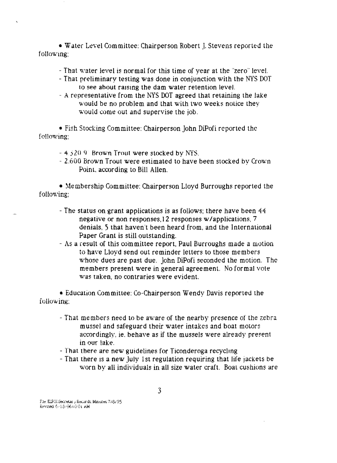• Water Level Committee: Chairperson Robert J. Stevens reported the following:

- That water level is normal for this time of year at the "zero" level.
- That preliminary testing was done in conjunction with the NYS DOT to see about raising the dam water retention level.
- A representative from the NYS DOT agreed 1hat retaining the lake would be no problem and that with two weeks notice they would come out and supervise the job.

• Fish Stocking Committee: Chairperson john DiPofi reported the following;

- $-4.320$  9 Brown Trout were stocked by NYS.
- 2.600 Brown Trout were estimated to have been stocked by Crown Point, according to Bill Allen.

• Membership Committee: Chairperson Lloyd Burroughs reported the following;

- The status on grant applications is as follows; there have been 44 negative or non responses,12 responses w/applications, 7 denials, 5 that haven't been heard from, and the International Paper Grant is still outstanding.
- As a result of this committee report. Paul Burroughs made a motion to have Lloyd send out reminder letters to those members whose dues are past due. John DiPofi seconded the motion. The members present were in general agreement. No formal vote was taken, no contraries were evident.

• Education Committee: Co-Chairperson Wendy Davis reported the following;

- That members need to be aware of the nearby presence of the zebra mussel and safeguard their water intakes and boat motors accordingly, ie. behave as if the mussels were already present in our lake.
- That there are new guidelines for Ticonderoga recycling
- That there is a new July 1st regulation requiring that life jackets be worn by all individuals in all size water craft. Boat cushions are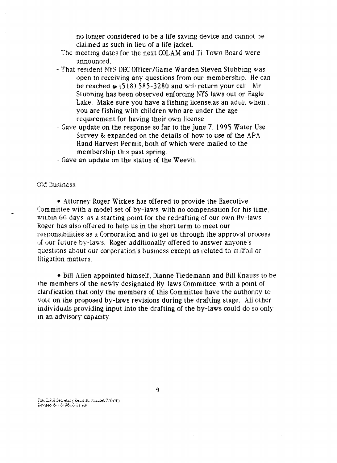no longer considered to be a life saving device and cannot be claimed as such in lieu of a life jacket.

- The meetmg dates for the next COLAM and Ti. Town Board were announced.
- That resident NYS DEC Officer/Game Warden Steven Stubbing was open to receiving any questions from our membership. He can be reached  $\omega$  (518) 585-3280 and will return your call. Mr Stubbing has been observed enforcing NYS laws out on Eagie Lake, Make sure you have a fishing license.as an adult when. you are fishing with children who are under the age requirement for having their own license.
- Gave update on the response so far to the June 7, 1995 Water Use Survey & expanded on the details of how to use of the APA Hand Harvest Permit, both of which were mailed to the memhership this past spring.
- Gave an update on the status of the Weevi1.

Old Business:

• Attorney Roger Wickes has offered to provide the Executive Committee with a model set of by-laws, with no compensation for his time, within 60 days, as a starting point for the redrafting of our own By-laws. Roger has also offered to help us in the short term to meet our responsibiiilies as a Corporation and to get us through the approval process of our future by-laws, Roger additionally offered to answer anyone's questions about our corporation's business except as related to milfoll or litigation matters,

• Bill Allen appointed himself, Dianne Tiedemann and Bill Knauss to be the members of the newly designated By-laws Committee, WIth a pomt of clarification that only the members of this Committee have the authority to vote on the proposed by-laws revisions during the drafting stage. All other individuals providing input into the drafting of the by-laws could do so only m an advisory capacity.

File.ElFÜl Geci etary Records.Minutes 7/8/95 Revised & (3) P610.01 AM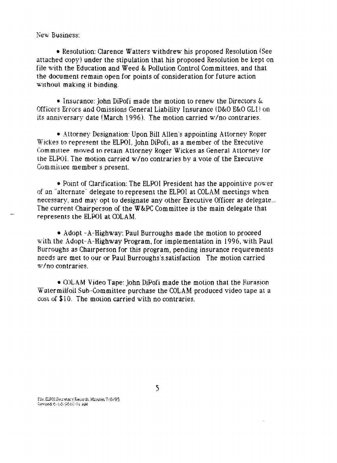New Business:

• Resolution: Clarence Watters withdrew his proposed Resolution (See attached copy) under the stipulation that his proposed Resolution be kept on file with the Education and Weed & Pollution Control Committees. and that the document remain open for points of consideration for future action without making it binding.

• Insurance: John DiPofi made the motion to renew the Directors &. Officers Errors and Omissions General Liability Insurance (D&O E&O GLI) on its anniversary date (March 1996). The motion carried w/no contraries.

• Attorney Designation: Upon Bill Allen's appointing Attorney Roger Wictes to represent the ELPOI, John DiPofi, as a member of the Executive Committee, moved to retain Attorney Roger Wickes as General Attorney for the ELPOI. The motion carried w/no contraries by a vote of the Executive Committee member's present.

• Point of Clarification: The ELPOI President has the appointive power of un "alternate" delegate to represent the ELPOI at COLAM meetings when necessary, and may opt to designate any other Executive Officer as delegate... The current Chairperson of the W&PC Committee is the main delegate that represents the ELPOI at COLAM.

• Adopt - A-Highway: Paul Burroughs made the motion to proceed with the Adopt-A-Highway Program. for implementation in 1996. with Paul Burroughs as Chairperson for this program, pending insurance requirements needs are met to our or Paul Burroughs's.satisfaction The motion carried \1'/no contraries.

• COLAM Video Tape: John DiPofi made the motion that the Eurasion Watermilfoil Sub-Committee purchase the COLAM produced video tape at a  $\cos \theta$  \$10. The motion carried with no contraries.

Fill : ELFOI GEN et an y Records, Minutes, 778795 revised:6. (6. ; 3. 10 Ot AM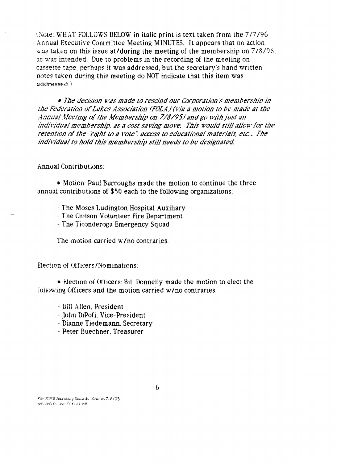(Note: WHAT FOLLOWS BELOW in italic print is text taken from the 7/7/96) Annual Executive Committee Meeting MINUTES. It appears that no action was taken on this issue at/during the meeting of the membership on 7/8/96, as was intended. Due to problems in the recording of the meeting on cassette tape, perhaps it was addressed, but the secretary's hand written notes taken during this meeting do NOT indicate that this item was *i* heazenbbs

• The decision was made to rescind our Corporation's membership in the Federation of Lakes Association (FOLA) (via a motion to be made at the Annual Meeting of the Membership on 7/8/95) and go with just an individual membership, as a cost saving move. This would still allow for the retention of the "right to a vote", access to educational materials, etc.... The individual to hold this membership still needs to be designated.

**Annual Contributions:** 

• Motion: Paul Burroughs made the motion to continue the three annual contributions of \$50 each to the following organizations;

- The Moses Ludington Hospital Auxiliary
- The Chilson Volunteer Fire Department
- The Ticonderoga Emergency Squad

The motion carried w/no contraries.

Election of Officers/Nominations:

• Election of Officers: Bill Donnelly made the motion to elect the following Officers and the motion carried w/no contraries.

- Bill Allen, President
- John DiPofi, Vice-President
- Dianne Tiedemann, Secretary
- Peter Buechner, Treasurer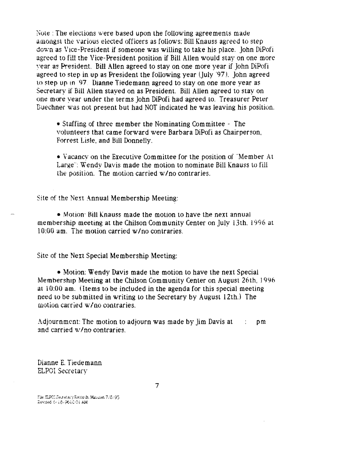Note : The elections were based upon the following agreements made amongst the various elected officers as follows: Bill Knauss agreed to step down as Vice-President if someone was willing to take his place. John DiPofi agreed to fill the Vice-President position if Bill Allen would stay on one more vear as President. Bill Allen agreed to stay on one more year if John DiPofi agreed to step in up as President the following year (July '97). john agreed to step up in 97. Dianne Tiedemann agreed to stay on one more year as Secretary if Bill Allen stayed on as President. Bill Allen agreed to stay on one more vear under the terms John DiPofi had agreed to. Treasurer Peter Buechner was not present but had NOT indicated he was leaving his position.

• Staffing of three member the Nominating Committee - The volunteers that came forward were Barbara DiPofi as Chairperson, Forrest Lisle, and Bill Donnelly.

• Vacancy on the Executive Committee for the position of '"Member At Large': Wendy Davis made the motion to nominate Bill Knauss to fill the position. The motion carried *wIno* contraries.

Site of the Next Annual Membership Meeting:

• Motion: Bill Knauss made the motion to have the next annual membership meeting at the Chilson Community Center on July 13th. 1996 at 10:00 am. The motion carried *wIno* contraries.

Site of the Next Special Membership Meeting:

• Motion: Wendy Davis made the motion to have the next Special Membership Meeting at the Chilson Community Center on August 26th. J996 at 10:00 am. (Items to be included in the agenda for this special meeting need to be submitted in writing to the Secretary by August 12th.) The motion carried wIno contraries.

Adjournment: The motion to adjourn was made by  $\lim_{n \to \infty}$  Davis at pm and carried *wIno* contraries.

Dianne E. Tiede mann ELPOI Secretary

File: ELPOI Jean-star y Records. Minutes. 7/0/95  $i$  and  $i$   $i$  is  $i$  .  $j$  is  $i$  of  $i$  and  $i$